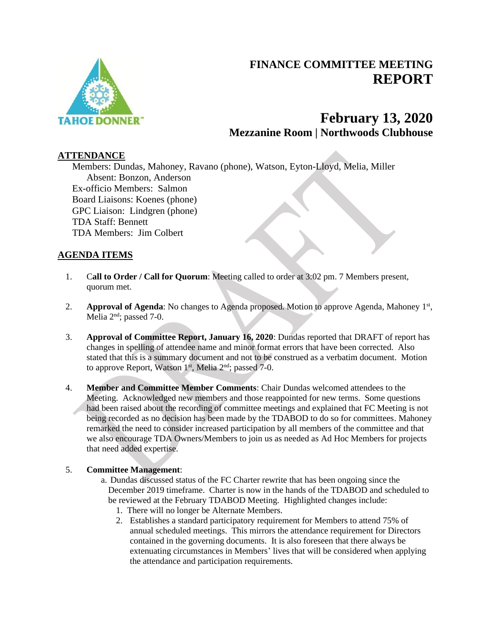

# **FINANCE COMMITTEE MEETING REPORT**

# **February 13, 2020 Mezzanine Room | Northwoods Clubhouse**

### **ATTENDANCE**

Members: Dundas, Mahoney, Ravano (phone), Watson, Eyton-Lloyd, Melia, Miller Absent: Bonzon, Anderson Ex-officio Members: Salmon Board Liaisons: Koenes (phone) GPC Liaison: Lindgren (phone) TDA Staff: Bennett TDA Members: Jim Colbert

## **AGENDA ITEMS**

- 1. C**all to Order / Call for Quorum**: Meeting called to order at 3:02 pm. 7 Members present, quorum met.
- 2. **Approval of Agenda**: No changes to Agenda proposed. Motion to approve Agenda, Mahoney 1<sup>st</sup>, Melia  $2<sup>nd</sup>$ ; passed 7-0.
- 3. **Approval of Committee Report, January 16, 2020**: Dundas reported that DRAFT of report has changes in spelling of attendee name and minor format errors that have been corrected. Also stated that this is a summary document and not to be construed as a verbatim document. Motion to approve Report, Watson  $1<sup>st</sup>$ , Melia  $2<sup>nd</sup>$ ; passed 7-0.
- 4. **Member and Committee Member Comments**: Chair Dundas welcomed attendees to the Meeting. Acknowledged new members and those reappointed for new terms. Some questions had been raised about the recording of committee meetings and explained that FC Meeting is not being recorded as no decision has been made by the TDABOD to do so for committees. Mahoney remarked the need to consider increased participation by all members of the committee and that we also encourage TDA Owners/Members to join us as needed as Ad Hoc Members for projects that need added expertise.

#### 5. **Committee Management**:

- a. Dundas discussed status of the FC Charter rewrite that has been ongoing since the December 2019 timeframe. Charter is now in the hands of the TDABOD and scheduled to be reviewed at the February TDABOD Meeting. Highlighted changes include:
	- 1. There will no longer be Alternate Members.
	- 2. Establishes a standard participatory requirement for Members to attend 75% of annual scheduled meetings. This mirrors the attendance requirement for Directors contained in the governing documents. It is also foreseen that there always be extenuating circumstances in Members' lives that will be considered when applying the attendance and participation requirements.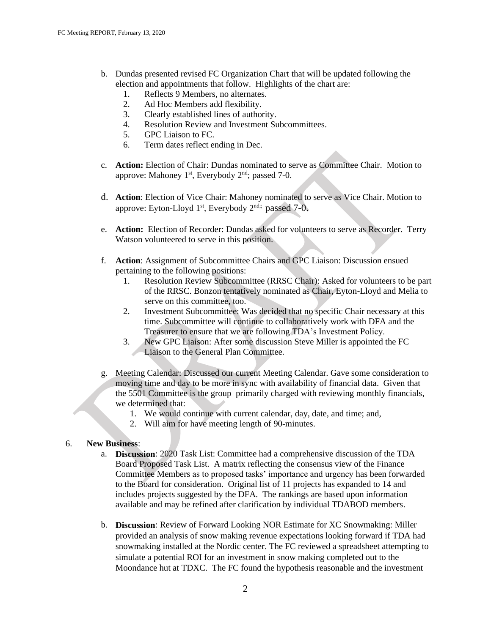- b. Dundas presented revised FC Organization Chart that will be updated following the election and appointments that follow. Highlights of the chart are:
	- 1. Reflects 9 Members, no alternates.
	- 2. Ad Hoc Members add flexibility.
	- 3. Clearly established lines of authority.
	- 4. Resolution Review and Investment Subcommittees.
	- 5. GPC Liaison to FC.
	- 6. Term dates reflect ending in Dec.
- c. **Action:** Election of Chair: Dundas nominated to serve as Committee Chair. Motion to approve: Mahoney 1<sup>st</sup>, Everybody 2<sup>nd</sup>; passed 7-0.
- d. **Action**: Election of Vice Chair: Mahoney nominated to serve as Vice Chair. Motion to approve: Eyton-Lloyd  $1^{st}$ , Everybody  $2^{nd}$ ; passed  $7-0$ .
- e. **Action:** Election of Recorder: Dundas asked for volunteers to serve as Recorder. Terry Watson volunteered to serve in this position.
- f. **Action**: Assignment of Subcommittee Chairs and GPC Liaison: Discussion ensued pertaining to the following positions:
	- 1. Resolution Review Subcommittee (RRSC Chair): Asked for volunteers to be part of the RRSC. Bonzon tentatively nominated as Chair, Eyton-Lloyd and Melia to serve on this committee, too.
	- 2. Investment Subcommittee: Was decided that no specific Chair necessary at this time. Subcommittee will continue to collaboratively work with DFA and the Treasurer to ensure that we are following TDA's Investment Policy.
	- 3. New GPC Liaison: After some discussion Steve Miller is appointed the FC Liaison to the General Plan Committee.
- g. Meeting Calendar: Discussed our current Meeting Calendar. Gave some consideration to moving time and day to be more in sync with availability of financial data. Given that the 5501 Committee is the group primarily charged with reviewing monthly financials, we determined that:
	- 1. We would continue with current calendar, day, date, and time; and,
	- 2. Will aim for have meeting length of 90-minutes.

#### 6. **New Business**:

- a. **Discussion**: 2020 Task List: Committee had a comprehensive discussion of the TDA Board Proposed Task List. A matrix reflecting the consensus view of the Finance Committee Members as to proposed tasks' importance and urgency has been forwarded to the Board for consideration. Original list of 11 projects has expanded to 14 and includes projects suggested by the DFA. The rankings are based upon information available and may be refined after clarification by individual TDABOD members.
- b. **Discussion**: Review of Forward Looking NOR Estimate for XC Snowmaking: Miller provided an analysis of snow making revenue expectations looking forward if TDA had snowmaking installed at the Nordic center. The FC reviewed a spreadsheet attempting to simulate a potential ROI for an investment in snow making completed out to the Moondance hut at TDXC. The FC found the hypothesis reasonable and the investment